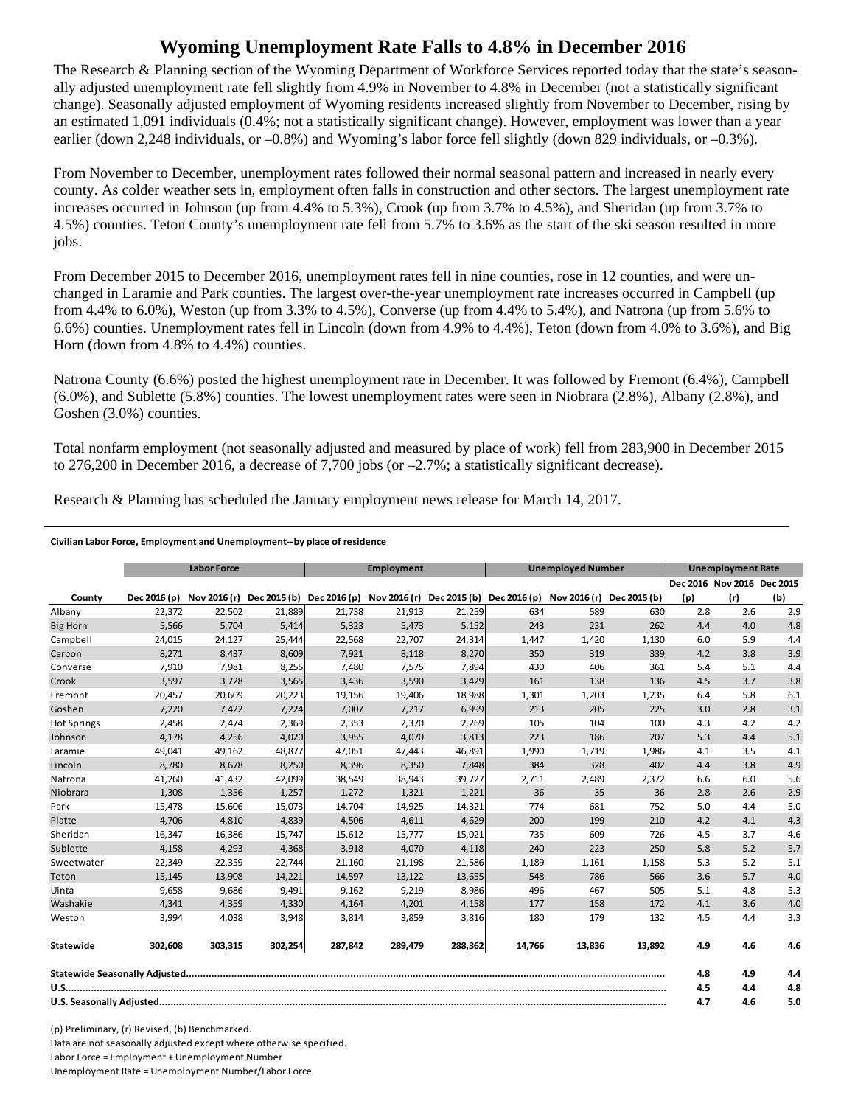## **Wyoming Unemployment Rate Falls to 4.8% in December 2016**

The Research & Planning section of the Wyoming Department of Workforce Services reported today that the state's seasonally adjusted unemployment rate fell slightly from 4.9% in November to 4.8% in December (not a statistically significant change). Seasonally adjusted employment of Wyoming residents increased slightly from November to December, rising by an estimated 1,091 individuals (0.4%; not a statistically significant change). However, employment was lower than a year earlier (down 2,248 individuals, or –0.8%) and Wyoming's labor force fell slightly (down 829 individuals, or –0.3%).

From November to December, unemployment rates followed their normal seasonal pattern and increased in nearly every county. As colder weather sets in, employment often falls in construction and other sectors. The largest unemployment rate increases occurred in Johnson (up from 4.4% to 5.3%), Crook (up from 3.7% to 4.5%), and Sheridan (up from 3.7% to 4.5%) counties. Teton County's unemployment rate fell from 5.7% to 3.6% as the start of the ski season resulted in more jobs.

From December 2015 to December 2016, unemployment rates fell in nine counties, rose in 12 counties, and were unchanged in Laramie and Park counties. The largest over-the-year unemployment rate increases occurred in Campbell (up from 4.4% to 6.0%), Weston (up from 3.3% to 4.5%), Converse (up from 4.4% to 5.4%), and Natrona (up from 5.6% to 6.6%) counties. Unemployment rates fell in Lincoln (down from 4.9% to 4.4%), Teton (down from 4.0% to 3.6%), and Big Horn (down from 4.8% to 4.4%) counties.

Natrona County (6.6%) posted the highest unemployment rate in December. It was followed by Fremont (6.4%), Campbell (6.0%), and Sublette (5.8%) counties. The lowest unemployment rates were seen in Niobrara (2.8%), Albany (2.8%), and Goshen (3.0%) counties.

Total nonfarm employment (not seasonally adjusted and measured by place of work) fell from 283,900 in December 2015 to 276,200 in December 2016, a decrease of 7,700 jobs (or  $-2.7\%$ ; a statistically significant decrease).

Research & Planning has scheduled the January employment news release for March 14, 2017.

## **Civilian Labor Force, Employment and Unemployment‐‐by place of residence**

|                    | <b>Labor Force</b> |         | <b>Employment</b> |                                                                                            |         | <b>Unemployed Number</b> |        |        | <b>Unemployment Rate</b> |     |                            |     |
|--------------------|--------------------|---------|-------------------|--------------------------------------------------------------------------------------------|---------|--------------------------|--------|--------|--------------------------|-----|----------------------------|-----|
|                    |                    |         |                   |                                                                                            |         |                          |        |        |                          |     | Dec 2016 Nov 2016 Dec 2015 |     |
| County             | Dec 2016 (p)       |         |                   | Nov 2016 (r) Dec 2015 (b) Dec 2016 (p) Nov 2016 (r) Dec 2015 (b) Dec 2016 (p) Nov 2016 (r) |         |                          |        |        | Dec 2015 (b)             | (p) | (r)                        | (b) |
| Albany             | 22,372             | 22,502  | 21,889            | 21,738                                                                                     | 21,913  | 21,259                   | 634    | 589    | 630                      | 2.8 | 2.6                        | 2.9 |
| <b>Big Horn</b>    | 5,566              | 5,704   | 5,414             | 5,323                                                                                      | 5,473   | 5,152                    | 243    | 231    | 262                      | 4.4 | 4.0                        | 4.8 |
| Campbell           | 24,015             | 24,127  | 25,444            | 22,568                                                                                     | 22,707  | 24,314                   | 1,447  | 1,420  | 1,130                    | 6.0 | 5.9                        | 4.4 |
| Carbon             | 8,271              | 8.437   | 8,609             | 7.921                                                                                      | 8,118   | 8,270                    | 350    | 319    | 339                      | 4.2 | 3.8                        | 3.9 |
| Converse           | 7,910              | 7,981   | 8,255             | 7,480                                                                                      | 7,575   | 7,894                    | 430    | 406    | 361                      | 5.4 | 5.1                        | 4.4 |
| Crook              | 3,597              | 3,728   | 3,565             | 3,436                                                                                      | 3,590   | 3,429                    | 161    | 138    | 136                      | 4.5 | 3.7                        | 3.8 |
| Fremont            | 20,457             | 20.609  | 20,223            | 19,156                                                                                     | 19,406  | 18,988                   | 1,301  | 1,203  | 1,235                    | 6.4 | 5.8                        | 6.1 |
| Goshen             | 7,220              | 7,422   | 7,224             | 7,007                                                                                      | 7,217   | 6,999                    | 213    | 205    | 225                      | 3.0 | 2.8                        | 3.1 |
| <b>Hot Springs</b> | 2,458              | 2,474   | 2,369             | 2,353                                                                                      | 2,370   | 2,269                    | 105    | 104    | 100                      | 4.3 | 4.2                        | 4.2 |
| Johnson            | 4,178              | 4,256   | 4,020             | 3,955                                                                                      | 4,070   | 3,813                    | 223    | 186    | 207                      | 5.3 | 4.4                        | 5.1 |
| Laramie            | 49,041             | 49,162  | 48,877            | 47.051                                                                                     | 47.443  | 46,891                   | 1,990  | 1,719  | 1,986                    | 4.1 | 3.5                        | 4.1 |
| Lincoln            | 8,780              | 8,678   | 8,250             | 8,396                                                                                      | 8,350   | 7,848                    | 384    | 328    | 402                      | 4.4 | 3.8                        | 4.9 |
| Natrona            | 41,260             | 41,432  | 42,099            | 38,549                                                                                     | 38,943  | 39,727                   | 2,711  | 2,489  | 2,372                    | 6.6 | 6.0                        | 5.6 |
| Niobrara           | 1,308              | 1,356   | 1,257             | 1,272                                                                                      | 1,321   | 1,221                    | 36     | 35     | 36                       | 2.8 | 2.6                        | 2.9 |
| Park               | 15,478             | 15,606  | 15,073            | 14,704                                                                                     | 14,925  | 14,321                   | 774    | 681    | 752                      | 5.0 | 4.4                        | 5.0 |
| Platte             | 4.706              | 4,810   | 4,839             | 4,506                                                                                      | 4,611   | 4,629                    | 200    | 199    | 210                      | 4.2 | 4.1                        | 4.3 |
| Sheridan           | 16,347             | 16,386  | 15,747            | 15,612                                                                                     | 15,777  | 15,021                   | 735    | 609    | 726                      | 4.5 | 3.7                        | 4.6 |
| Sublette           | 4,158              | 4,293   | 4,368             | 3,918                                                                                      | 4,070   | 4,118                    | 240    | 223    | 250                      | 5.8 | 5.2                        | 5.7 |
| Sweetwater         | 22,349             | 22,359  | 22,744            | 21,160                                                                                     | 21,198  | 21,586                   | 1,189  | 1,161  | 1,158                    | 5.3 | 5.2                        | 5.1 |
| Teton              | 15,145             | 13,908  | 14,221            | 14,597                                                                                     | 13,122  | 13,655                   | 548    | 786    | 566                      | 3.6 | 5.7                        | 4.0 |
| Uinta              | 9,658              | 9,686   | 9,491             | 9,162                                                                                      | 9,219   | 8,986                    | 496    | 467    | 505                      | 5.1 | 4.8                        | 5.3 |
| Washakie           | 4.341              | 4,359   | 4,330             | 4,164                                                                                      | 4,201   | 4,158                    | 177    | 158    | 172                      | 4.1 | 3.6                        | 4.0 |
| Weston             | 3,994              | 4,038   | 3,948             | 3,814                                                                                      | 3,859   | 3,816                    | 180    | 179    | 132                      | 4.5 | 4.4                        | 3.3 |
| Statewide          | 302,608            | 303,315 | 302,254           | 287,842                                                                                    | 289,479 | 288,362                  | 14,766 | 13,836 | 13,892                   | 4.9 | 4.6                        | 4.6 |
|                    |                    |         |                   |                                                                                            |         |                          |        | 4.8    | 4.9                      | 4.4 |                            |     |
|                    |                    |         |                   |                                                                                            |         |                          |        | 4.5    | 4.4                      | 4.8 |                            |     |
|                    |                    |         |                   |                                                                                            |         |                          | 4.7    | 4.6    | 5.0                      |     |                            |     |

(p) Preliminary, (r) Revised, (b) Benchmarked. Data are not seasonally adjusted except where otherwise specified. Labor Force = Employment + Unemployment Number Unemployment Rate = Unemployment Number/Labor Force